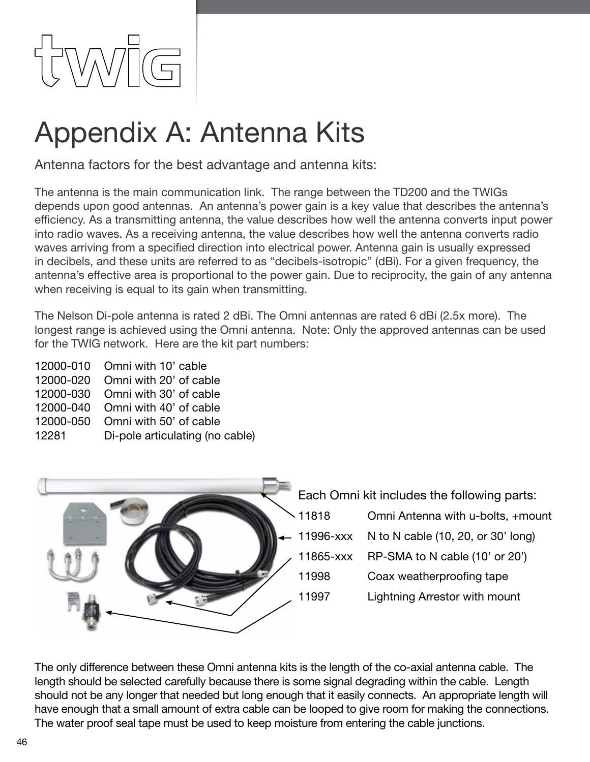

# Appendix A: Antenna Kits

Antenna factors for the best advantage and antenna kits:

The antenna is the main communication link. The range between the TD200 and the TWIGs depends upon good antennas. An antenna's power gain is a key value that describes the antenna's efficiency. As a transmitting antenna, the value describes how well the antenna converts input power into radio waves. As a receiving antenna, the value describes how well the antenna converts radio waves arriving from a specified direction into electrical power. Antenna gain is usually expressed in decibels, and these units are referred to as "decibels-isotropic" (dBi). For a given frequency, the antenna's effective area is proportional to the power gain. Due to reciprocity, the gain of any antenna when receiving is equal to its gain when transmitting.

The Nelson Di-pole antenna is rated 2 dBi. The Omni antennas are rated 6 dBi (2.5x more). The longest range is achieved using the Omni antenna. Note: Only the approved antennas can be used for the TWIG network. Here are the kit part numbers:

12000-010 Omni with 10' cable 12000-020 Omni with 20' of cable 12000-030 Omni with 30' of cable 12000-040 Omni with 40' of cable 12000-050 Omni with 50' of cable 12281 Di-pole articulating (no cable)



The only difference between these Omni antenna kits is the length of the co-axial antenna cable. The length should be selected carefully because there is some signal degrading within the cable. Length should not be any longer that needed but long enough that it easily connects. An appropriate length will have enough that a small amount of extra cable can be looped to give room for making the connections. The water proof seal tape must be used to keep moisture from entering the cable junctions.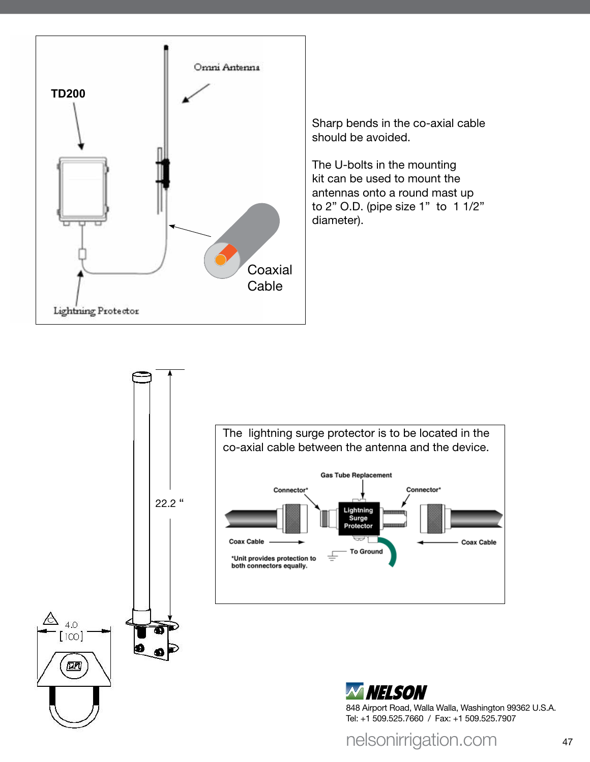

Sharp bends in the co-axial cable should be avoided.

The U-bolts in the mounting kit can be used to mount the antennas onto a round mast up to 2" O.D. (pipe size 1" to 1 1/2" diameter).







nelsonirrigation.com 47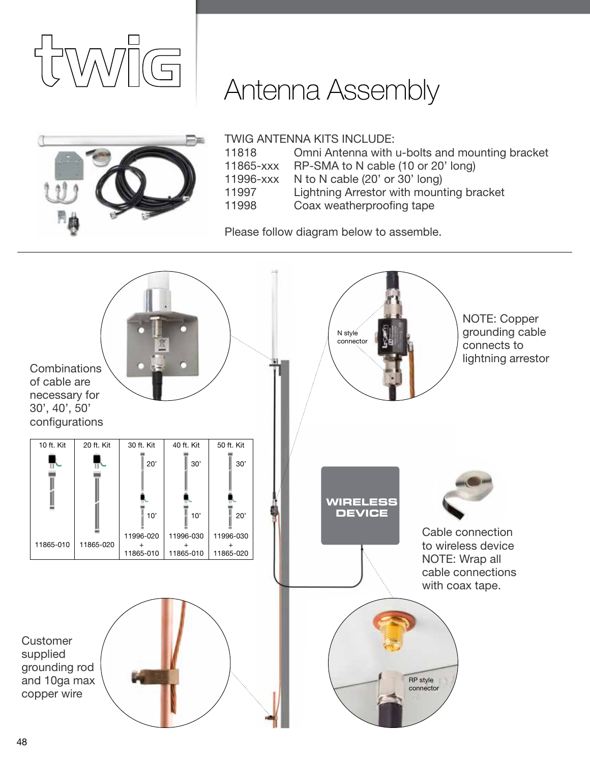





## TWIG Antenna kits include:

| 11818     | Omni Antenna with u-bolts and mounting bracket |
|-----------|------------------------------------------------|
| 11865-xxx | RP-SMA to N cable (10 or 20' long)             |
|           | 11996-xxx N to N cable (20' or 30' long)       |
| 11997     | Lightning Arrestor with mounting bracket       |

11998 Coax weatherproofing tape

Please follow diagram below to assemble.